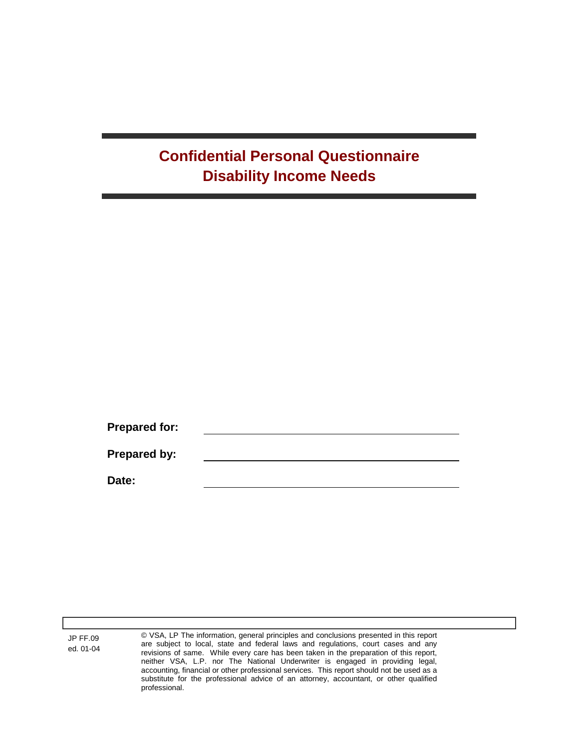## **Confidential Personal Questionnaire Disability Income Needs**

**Prepared for: Prepared by: Date:**

JP FF.09 ed. 01-04 © VSA, LP The information, general principles and conclusions presented in this report are subject to local, state and federal laws and regulations, court cases and any revisions of same. While every care has been taken in the preparation of this report, neither VSA, L.P. nor The National Underwriter is engaged in providing legal, accounting, financial or other professional services. This report should not be used as a substitute for the professional advice of an attorney, accountant, or other qualified professional.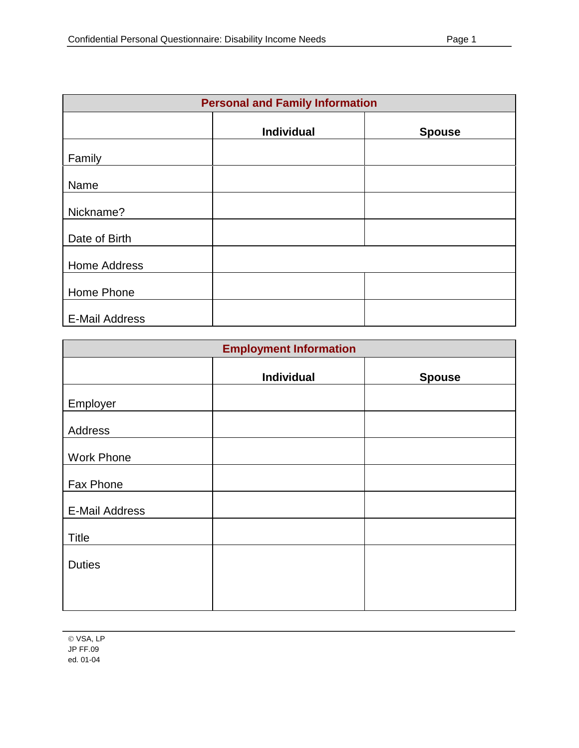|                       | <b>Personal and Family Information</b> |               |
|-----------------------|----------------------------------------|---------------|
|                       | <b>Individual</b>                      | <b>Spouse</b> |
| Family                |                                        |               |
| Name                  |                                        |               |
| Nickname?             |                                        |               |
| Date of Birth         |                                        |               |
| Home Address          |                                        |               |
| Home Phone            |                                        |               |
| <b>E-Mail Address</b> |                                        |               |

|                       | <b>Employment Information</b> |               |
|-----------------------|-------------------------------|---------------|
|                       | <b>Individual</b>             | <b>Spouse</b> |
| Employer              |                               |               |
| Address               |                               |               |
| <b>Work Phone</b>     |                               |               |
| Fax Phone             |                               |               |
| <b>E-Mail Address</b> |                               |               |
| <b>Title</b>          |                               |               |
| <b>Duties</b>         |                               |               |
|                       |                               |               |
|                       |                               |               |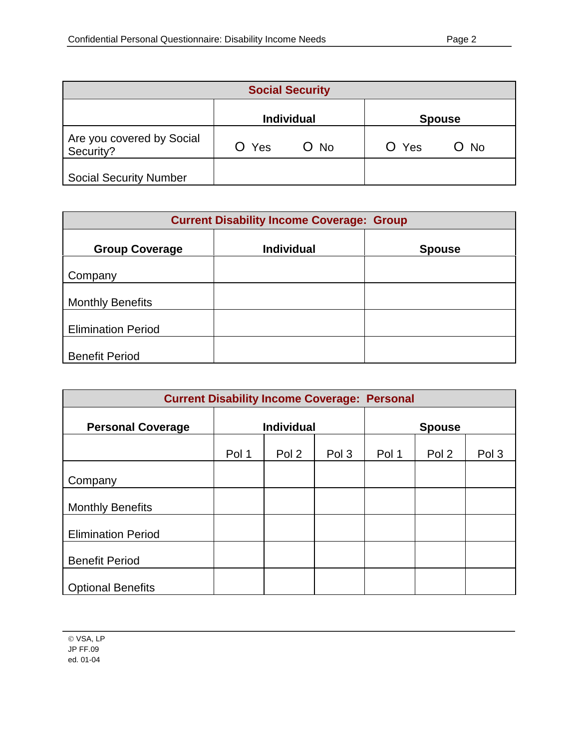|                                        |       | <b>Social Security</b> |       |               |
|----------------------------------------|-------|------------------------|-------|---------------|
|                                        |       | <b>Individual</b>      |       | <b>Spouse</b> |
| Are you covered by Social<br>Security? | O Yes | $O$ No                 | O Yes | O No          |
| <b>Social Security Number</b>          |       |                        |       |               |

|                           | <b>Current Disability Income Coverage: Group</b> |               |
|---------------------------|--------------------------------------------------|---------------|
| <b>Group Coverage</b>     | <b>Individual</b>                                | <b>Spouse</b> |
| Company                   |                                                  |               |
| <b>Monthly Benefits</b>   |                                                  |               |
| <b>Elimination Period</b> |                                                  |               |
| <b>Benefit Period</b>     |                                                  |               |

|                           |       | <b>Current Disability Income Coverage: Personal</b> |       |       |               |       |
|---------------------------|-------|-----------------------------------------------------|-------|-------|---------------|-------|
| <b>Personal Coverage</b>  |       | <b>Individual</b>                                   |       |       | <b>Spouse</b> |       |
|                           | Pol 1 | Pol 2                                               | Pol 3 | Pol 1 | Pol 2         | Pol 3 |
| Company                   |       |                                                     |       |       |               |       |
| <b>Monthly Benefits</b>   |       |                                                     |       |       |               |       |
| <b>Elimination Period</b> |       |                                                     |       |       |               |       |
| <b>Benefit Period</b>     |       |                                                     |       |       |               |       |
| <b>Optional Benefits</b>  |       |                                                     |       |       |               |       |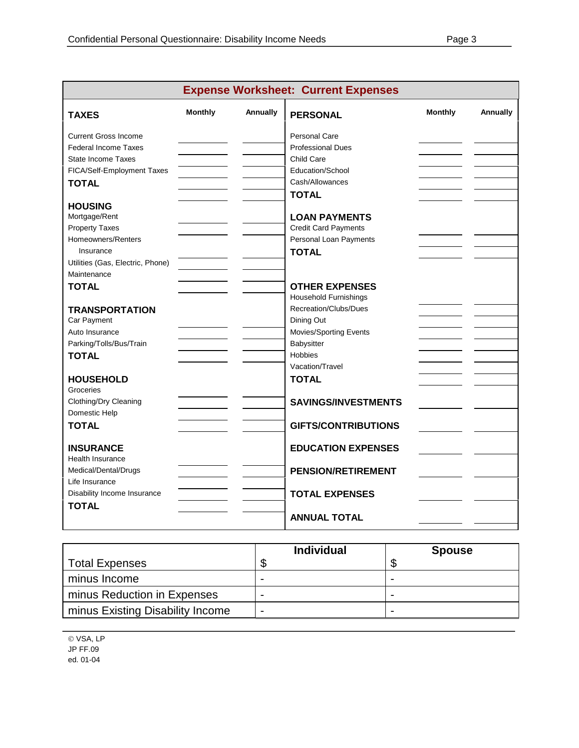|                                  |                |          | <b>Expense Worksheet: Current Expenses</b> |                |          |
|----------------------------------|----------------|----------|--------------------------------------------|----------------|----------|
| <b>TAXES</b>                     | <b>Monthly</b> | Annually | <b>PERSONAL</b>                            | <b>Monthly</b> | Annually |
| <b>Current Gross Income</b>      |                |          | <b>Personal Care</b>                       |                |          |
| <b>Federal Income Taxes</b>      |                |          | <b>Professional Dues</b>                   |                |          |
| <b>State Income Taxes</b>        |                |          | Child Care                                 |                |          |
| FICA/Self-Employment Taxes       |                |          | Education/School                           |                |          |
| <b>TOTAL</b>                     |                |          | Cash/Allowances                            |                |          |
|                                  |                |          | <b>TOTAL</b>                               |                |          |
| <b>HOUSING</b>                   |                |          |                                            |                |          |
| Mortgage/Rent                    |                |          | <b>LOAN PAYMENTS</b>                       |                |          |
| <b>Property Taxes</b>            |                |          | <b>Credit Card Payments</b>                |                |          |
| Homeowners/Renters               |                |          | Personal Loan Payments                     |                |          |
| Insurance                        |                |          | <b>TOTAL</b>                               |                |          |
| Utilities (Gas, Electric, Phone) |                |          |                                            |                |          |
| Maintenance                      |                |          |                                            |                |          |
| <b>TOTAL</b>                     |                |          | <b>OTHER EXPENSES</b>                      |                |          |
|                                  |                |          | <b>Household Furnishings</b>               |                |          |
| <b>TRANSPORTATION</b>            |                |          | Recreation/Clubs/Dues                      |                |          |
| Car Payment                      |                |          | Dining Out                                 |                |          |
| Auto Insurance                   |                |          | Movies/Sporting Events                     |                |          |
| Parking/Tolls/Bus/Train          |                |          | Babysitter                                 |                |          |
| <b>TOTAL</b>                     |                |          | Hobbies                                    |                |          |
|                                  |                |          | Vacation/Travel                            |                |          |
| <b>HOUSEHOLD</b>                 |                |          | <b>TOTAL</b>                               |                |          |
| Groceries                        |                |          |                                            |                |          |
| Clothing/Dry Cleaning            |                |          | <b>SAVINGS/INVESTMENTS</b>                 |                |          |
| Domestic Help                    |                |          |                                            |                |          |
| <b>TOTAL</b>                     |                |          | <b>GIFTS/CONTRIBUTIONS</b>                 |                |          |
|                                  |                |          |                                            |                |          |
| <b>INSURANCE</b>                 |                |          | <b>EDUCATION EXPENSES</b>                  |                |          |
| <b>Health Insurance</b>          |                |          |                                            |                |          |
| Medical/Dental/Drugs             |                |          | <b>PENSION/RETIREMENT</b>                  |                |          |
| Life Insurance                   |                |          |                                            |                |          |
| Disability Income Insurance      |                |          | <b>TOTAL EXPENSES</b>                      |                |          |
| <b>TOTAL</b>                     |                |          |                                            |                |          |
|                                  |                |          | <b>ANNUAL TOTAL</b>                        |                |          |
|                                  |                |          |                                            |                |          |

|                                  | <b>Individual</b>        | <b>Spouse</b> |
|----------------------------------|--------------------------|---------------|
| <b>Total Expenses</b>            | œ<br>٨D                  |               |
| minus Income                     | -                        | -             |
| minus Reduction in Expenses      | -                        | -             |
| minus Existing Disability Income | $\overline{\phantom{0}}$ | -             |